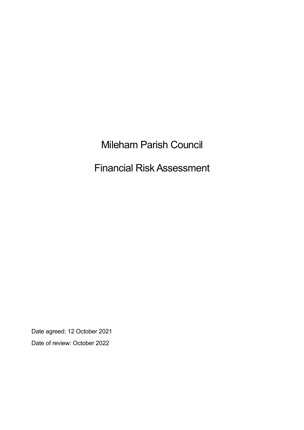# Mileham Parish Council

# Financial Risk Assessment

Date agreed: 12 October 2021 Date of review: October 2022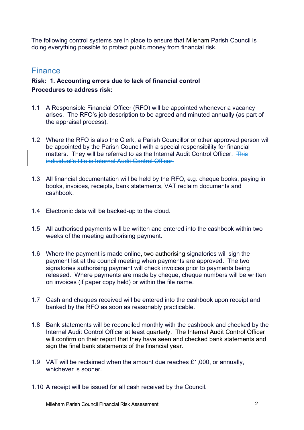The following control systems are in place to ensure that Mileham Parish Council is doing everything possible to protect public money from financial risk.

## Finance

### **Risk: 1. Accounting errors due to lack of financial control Procedures to address risk:**

- 1.1 A Responsible Financial Officer (RFO) will be appointed whenever a vacancy arises. The RFO's job description to be agreed and minuted annually (as part of the appraisal process).
- 1.2 Where the RFO is also the Clerk, a Parish Councillor or other approved person will be appointed by the Parish Council with a special responsibility for financial matters. They will be referred to as the Internal Audit Control Officer. This individual's title is Internal Audit Control Officer.
- 1.3 All financial documentation will be held by the RFO, e.g. cheque books, paying in books, invoices, receipts, bank statements, VAT reclaim documents and cashbook.
- 1.4 Electronic data will be backed-up to the cloud.
- 1.5 All authorised payments will be written and entered into the cashbook within two weeks of the meeting authorising payment.
- 1.6 Where the payment is made online, two authorising signatories will sign the payment list at the council meeting when payments are approved. The two signatories authorising payment will check invoices prior to payments being released. Where payments are made by cheque, cheque numbers will be written on invoices (if paper copy held) or within the file name.
- 1.7 Cash and cheques received will be entered into the cashbook upon receipt and banked by the RFO as soon as reasonably practicable.
- 1.8 Bank statements will be reconciled monthly with the cashbook and checked by the Internal Audit Control Officer at least quarterly. The Internal Audit Control Officer will confirm on their report that they have seen and checked bank statements and sign the final bank statements of the financial year.
- 1.9 VAT will be reclaimed when the amount due reaches £1,000, or annually, whichever is sooner.
- 1.10 A receipt will be issued for all cash received by the Council.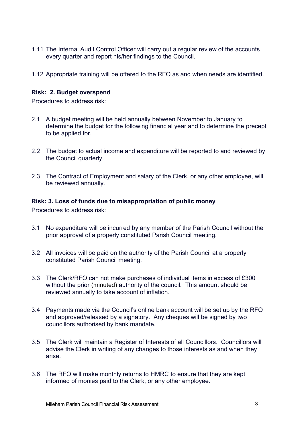- 1.11 The Internal Audit Control Officer will carry out a regular review of the accounts every quarter and report his/her findings to the Council.
- 1.12 Appropriate training will be offered to the RFO as and when needs are identified.

#### **Risk: 2. Budget overspend**

Procedures to address risk:

- 2.1 A budget meeting will be held annually between November to January to determine the budget for the following financial year and to determine the precept to be applied for.
- 2.2 The budget to actual income and expenditure will be reported to and reviewed by the Council quarterly.
- 2.3 The Contract of Employment and salary of the Clerk, or any other employee, will be reviewed annually.

#### **Risk: 3. Loss of funds due to misappropriation of public money**

Procedures to address risk:

- 3.1 No expenditure will be incurred by any member of the Parish Council without the prior approval of a properly constituted Parish Council meeting.
- 3.2 All invoices will be paid on the authority of the Parish Council at a properly constituted Parish Council meeting.
- 3.3 The Clerk/RFO can not make purchases of individual items in excess of £300 without the prior (minuted) authority of the council. This amount should be reviewed annually to take account of inflation.
- 3.4 Payments made via the Council's online bank account will be set up by the RFO and approved/released by a signatory. Any cheques will be signed by two councillors authorised by bank mandate.
- 3.5 The Clerk will maintain a Register of Interests of all Councillors. Councillors will advise the Clerk in writing of any changes to those interests as and when they arise.
- 3.6 The RFO will make monthly returns to HMRC to ensure that they are kept informed of monies paid to the Clerk, or any other employee.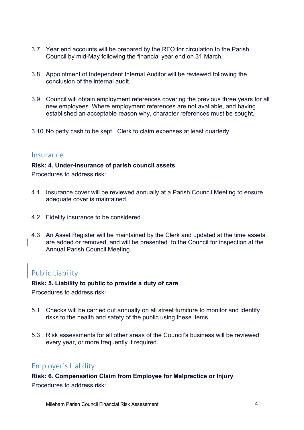- 3.7 Year end accounts will be prepared by the RFO for circulation to the Parish Council by mid-May following the financial year end on 31 March.
- 3.8 Appointment of Independent Internal Auditor will be reviewed following the conclusion of the internal audit.
- 3.9 Council will obtain employment references covering the previous three years for all new employees. Where employment references are not available, and having established an acceptable reason why, character references must be sought.
- 3.10 No petty cash to be kept. Clerk to claim expenses at least quarterly.

#### Insurance

#### **Risk: 4. Under-insurance of parish council assets**

Procedures to address risk:

- 4.1 Insurance cover will be reviewed annually at a Parish Council Meeting to ensure adequate cover is maintained.
- 4.2 Fidelity insurance to be considered.
- 4.3 An Asset Register will be maintained by the Clerk and updated at the time assets are added or removed, and will be presented -to the Council for inspection at the Annual Parish Council Meeting.

# Public Liability

#### **Risk: 5. Liability to public to provide a duty of care**

Procedures to address risk:

- 5.1 Checks will be carried out annually on all street furniture to monitor and identify risks to the health and safety of the public using these items.
- 5.3 Risk assessments for all other areas of the Council's business will be reviewed every year, or more frequently if required.

### Employer's Liability

#### **Risk: 6. Compensation Claim from Employee for Malpractice or Injury**

Procedures to address risk: